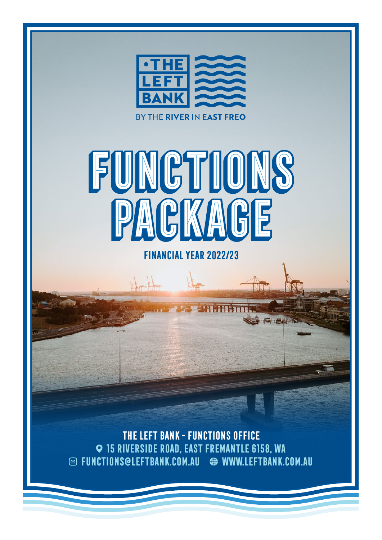



**Financial Year 2022/23**

**ANTIBELIST** 

 $b$ kakka

**The Left Bank - Functions Office 15 Riverside Road, East Fremantle 6158, WA functions@leftbank.com.au www.leftbank.com.au**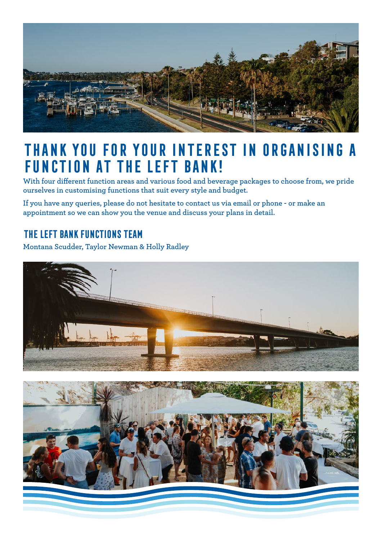

### **Thank you for your interest in organising a function at The Left Bank!**

**With four different function areas and various food and beverage packages to choose from, we pride ourselves in customising functions that suit every style and budget.**

**If you have any queries, please do not hesitate to contact us via email or phone - or make an appointment so we can show you the venue and discuss your plans in detail.**

#### **The Left Bank Functions Team**

**Montana Scudder, Taylor Newman & Holly Radley**



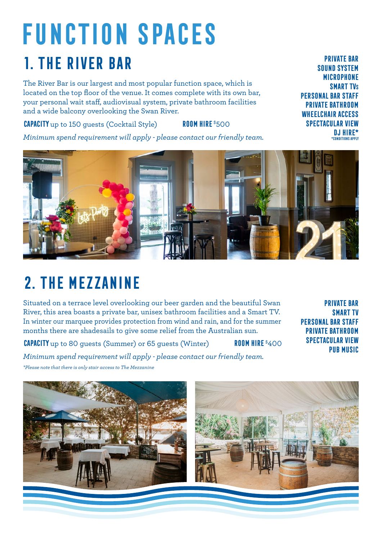## **Function Spaces 1. The River Bar**

The River Bar is our largest and most popular function space, which is located on the top floor of the venue. It comes complete with its own bar, your personal wait staff, audiovisual system, private bathroom facilities and a wide balcony overlooking the Swan River.

**CAPACITY** up to 150 guests (Cocktail Style) **ROOM HIRE** \$500

*Minimum spend requirement will apply - please contact our friendly team.*



## **2. The Mezzanine**

Situated on a terrace level overlooking our beer garden and the beautiful Swan River, this area boasts a private bar, unisex bathroom facilities and a Smart TV. In winter our marquee provides protection from wind and rain, and for the summer months there are shadesails to give some relief from the Australian sun.

**CAPACITY** up to 80 guests (Summer) or 65 guests (Winter) **ROOM HIRE** \$400

**private bar smart TV personal bar staff private bathroom spectacular view Pub Music**

*Minimum spend requirement will apply - please contact our friendly team.*

*\*Please note that there is only stair access to The Mezzanine*



**private bar sound system microphone smart tvs personal bar staff private bathroom wheelchair access spectacular view DJ hire\* \*conditions apply**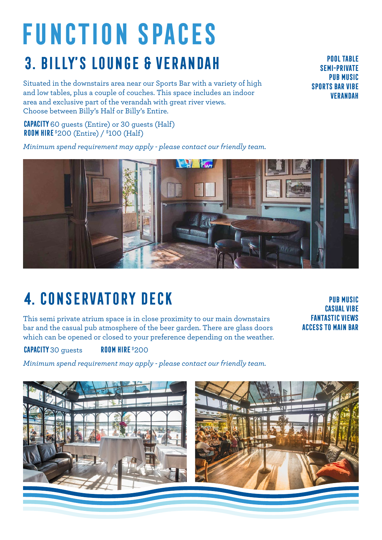# **Function Spaces 3. Billy's lounge & verandah**

Situated in the downstairs area near our Sports Bar with a variety of high and low tables, plus a couple of couches. This space includes an indoor area and exclusive part of the verandah with great river views. Choose between Billy's Half or Billy's Entire.

**Capacity**60 guests (Entire) or 30 guests (Half) **ROOM HIRE** \$200 (Entire) / \$100 (Half)

*Minimum spend requirement may apply - please contact our friendly team.*

**4. Conservatory deck**

This semi private atrium space is in close proximity to our main downstairs bar and the casual pub atmosphere of the beer garden. There are glass doors which can be opened or closed to your preference depending on the weather.

**Pub music casual vibe fantastic views access to main bar**

**Capacity**30 guests **Room Hire** \$200

*Minimum spend requirement may apply - please contact our friendly team.*





**Pool table semi-private pub music sports bar vibe verandah**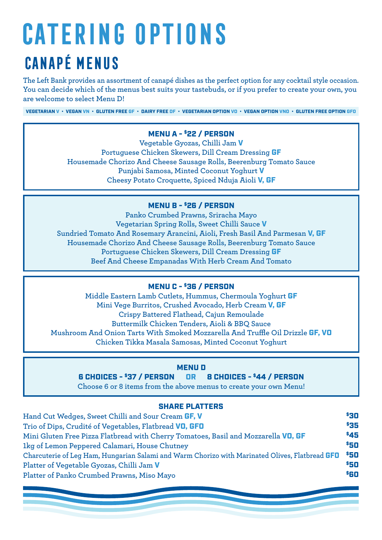# **Catering Options Canapé Menus**

**The Left Bank provides an assortment of canapé dishes as the perfect option for any cocktail style occasion. You can decide which of the menus best suits your tastebuds, or if you prefer to create your own, you are welcome to select Menu D!**

VEGETARIAN V • VEGAN VN • GLUTEN FREE GF • DAIRY FREE DF • VEGETARIAN OPTION VO • VEGAN OPTION VNO • GLUTEN FREE OPTION GFO

#### MENU A - \$22 / PERSON

**Vegetable Gyozas, Chilli Jam** V **Portuguese Chicken Skewers, Dill Cream Dressing** GF **Housemade Chorizo And Cheese Sausage Rolls, Beerenburg Tomato Sauce Punjabi Samosa, Minted Coconut Yoghurt** V **Cheesy Potato Croquette, Spiced Nduja Aioli** V, GF

#### MENU B - \$26 / PERSON

**Panko Crumbed Prawns, Sriracha Mayo Vegetarian Spring Rolls, Sweet Chilli Sauce** V **Sundried Tomato And Rosemary Arancini, Aioli, Fresh Basil And Parmesan** V, GF **Housemade Chorizo And Cheese Sausage Rolls, Beerenburg Tomato Sauce Portuguese Chicken Skewers, Dill Cream Dressing** GF **Beef And Cheese Empanadas With Herb Cream And Tomato**

#### MENU C - \$36 / PERSON

**Middle Eastern Lamb Cutlets, Hummus, Chermoula Yoghurt** GF **Mini Vege Burritos, Crushed Avocado, Herb Cream** V, GF **Crispy Battered Flathead, Cajun Remoulade Buttermilk Chicken Tenders, Aioli & BBQ Sauce Mushroom And Onion Tarts With Smoked Mozzarella And Truffle Oil Drizzle** GF, VO **Chicken Tikka Masala Samosas, Minted Coconut Yoghurt**

#### MENU D

6 CHOICES - \$37 / PERSON OR 8 CHOICES - \$44 / PERSON

**Choose 6 or 8 items from the above menus to create your own Menu!**

#### SHARE PLATTERS

| Hand Cut Wedges, Sweet Chilli and Sour Cream GF, V                                             | \$30 |
|------------------------------------------------------------------------------------------------|------|
| Trio of Dips, Crudité of Vegetables, Flatbread VO, GFO                                         | \$35 |
| Mini Gluten Free Pizza Flatbread with Cherry Tomatoes, Basil and Mozzarella VO, GF             | \$45 |
| 1kg of Lemon Peppered Calamari, House Chutney                                                  | \$50 |
| Charcuterie of Leg Ham, Hungarian Salami and Warm Chorizo with Marinated Olives, Flatbread GFO | \$50 |
| Platter of Vegetable Gyozas, Chilli Jam V                                                      | \$50 |
| Platter of Panko Crumbed Prawns, Miso Mayo                                                     | \$60 |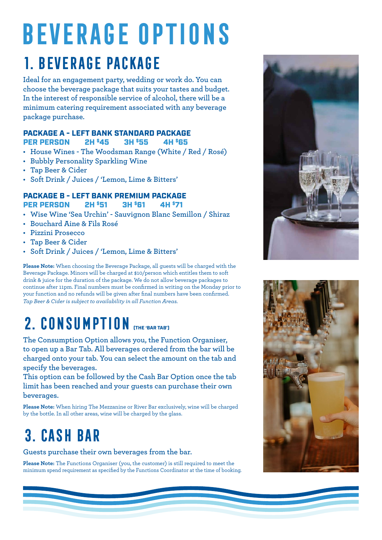## **Beverage Options 1. Beverage Package**

**Ideal for an engagement party, wedding or work do. You can choose the beverage package that suits your tastes and budget. In the interest of responsible service of alcohol, there will be a minimum catering requirement associated with any beverage package purchase.**

#### PACKAGE A - LEFT BANK STANDARD PACKAGE PER PERSON 2H \$45 3H \$55 4H \$65

- **• House Wines The Woodsman Range (White / Red / Rosé)**
- **• Bubbly Personality Sparkling Wine**
- **• Tap Beer & Cider**
- **• Soft Drink / Juices / 'Lemon, Lime & Bitters'**

#### **PACKAGE B - LEFT BANK PREMIUM PACKAGE<br>PER PERSON 2H \$51 3H \$61 4H \$71** PER PERSON 2H \$51 3H \$61 4H \$71

- **• Wise Wine 'Sea Urchin' Sauvignon Blanc Semillon / Shiraz**
- **• Bouchard Aine & Fils Rosé**
- **• Pizzini Prosecco**
- **• Tap Beer & Cider**
- **• Soft Drink / Juices / 'Lemon, Lime & Bitters'**

**Please Note:** When choosing the Beverage Package, all guests will be charged with the Beverage Package. Minors will be charged at \$10/person which entitles them to soft drink & juice for the duration of the package. We do not allow beverage packages to continue after 11pm. Final numbers must be confirmed in writing on the Monday prior to your function and no refunds will be given after final numbers have been confirmed. *Tap Beer & Cider is subject to availability in all Function Areas.*

## 2. CONSUMPTION **(THE 'BAR TAB')**

**The Consumption Option allows you, the Function Organiser, to open up a Bar Tab. All beverages ordered from the bar will be charged onto your tab. You can select the amount on the tab and specify the beverages.**

**This option can be followed by the Cash Bar Option once the tab limit has been reached and your guests can purchase their own beverages.**

**Please Note:** When hiring The Mezzanine or River Bar exclusively, wine will be charged by the bottle. In all other areas, wine will be charged by the glass.

### **3. cash bar**

**Guests purchase their own beverages from the bar.**

**Please Note:** The Functions Organiser (you, the customer) is still required to meet the minimum spend requirement as specified by the Functions Coordinator at the time of booking.



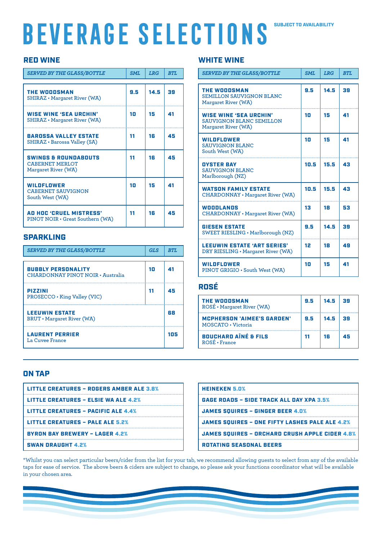# **Beverage Selections**

#### SUBJECT TO AVAILABILITY

#### RED WINE

| <b>SERVED BY THE GLASS/BOTTLE</b>                                         | <b>SML</b> | <b>LRG</b> | <b>BTL</b> |
|---------------------------------------------------------------------------|------------|------------|------------|
| <b>THE WOODSMAN</b><br><b>SHIRAZ</b> • Margaret River (WA)                | 9.5        | 14.5       | 39         |
| <b>WISE WINE 'SEA URCHIN'</b><br><b>SHIRAZ</b> • Margaret River (WA)      | 10         | 15         | 41         |
| <b>BAROSSA VALLEY ESTATE</b><br><b>SHIRAZ</b> • Barossa Valley (SA)       | 11         | 16         | 45         |
| <b>SWINGS &amp; ROUNDABOUTS</b><br>CABERNET MERLOT<br>Margaret River (WA) | 11         | 16         | 45         |
| WILDFLOWER<br><b>CABERNET SAUVIGNON</b><br>South West (WA)                | 10         | 15         | 41         |
| AD HOC 'CRUEL MISTRESS'<br>PINOT NOIR · Great Southern (WA)               | 11         | 16         | 45         |

#### SPARKLING

| <b>SERVED BY THE GLASS/BOTTLE</b>                              | GLS | RTI. |
|----------------------------------------------------------------|-----|------|
| <b>BUBBLY PERSONALITY</b><br>CHARDONNAY PINOT NOIR · Australia | 10  | 41   |
| <b>PIZZINI</b><br>PROSECCO • King Valley (VIC)                 | 11  | 45   |
| <b>LEEUWIN ESTATE</b><br><b>BRUT</b> • Margaret River (WA)     |     | 68   |
| <b>LAURENT PERRIER</b><br>La Cuvee France                      |     | 105  |

#### WHITE WINE

| <b>SERVED BY THE GLASS/BOTTLE</b>                                                       | <b>SML</b> | <b>LRG</b> | <b>BTL</b> |
|-----------------------------------------------------------------------------------------|------------|------------|------------|
| <b>THE WOODSMAN</b><br><b>SEMILLON SAUVIGNON BLANC</b><br>Margaret River (WA)           | 9.5        | 14.5       | 39         |
| <b>WISE WINE 'SEA URCHIN'</b><br><b>SAUVIGNON BLANC SEMILLON</b><br>Margaret River (WA) | 10         | 15         | 41         |
| <b>WILDFLOWER</b><br><b>SAUVIGNON BLANC</b><br>South West (WA)                          | 10         | 15         | 41         |
| <b>OYSTER BAY</b><br><b>SAUVIGNON BLANC</b><br>Marlborough (NZ)                         | 10.5       | 15.5       | 43         |
| <b>WATSON FAMILY ESTATE</b><br><b>CHARDONNAY</b> • Margaret River (WA)                  | 10.5       | 15.5       | 43         |
| <b>WOODLANDS</b><br><b>CHARDONNAY</b> • Margaret River (WA)                             | 13         | 18         | 53         |
| <b>GIESEN ESTATE</b><br>SWEET RIESLING · Marlborough (NZ)                               | 9.5        | 14.5       | 39         |
| <b>LEEUWIN ESTATE 'ART SERIES'</b><br>DRY RIESLING · Margaret River (WA)                | 12         | 18         | 49         |
| <b>WILDFLOWER</b><br>PINOT GRIGIO · South West (WA)                                     | 10         | 15         | 41         |

#### ROSÉ

| <b>THE WOODSMAN</b><br>ROSÉ · Margaret River (WA)       | 9.5 | 14.5 | 39 |
|---------------------------------------------------------|-----|------|----|
| <b>MCPHERSON 'AIMEE'S GARDEN'</b><br>MOSCATO · Victoria | 9.5 | 14.5 | 39 |
| <b>BOUCHARD AINÉ &amp; FILS</b><br>ROSÉ • France        | 11  | 16   | 45 |

#### ON TAP

| <b>LITTLE CREATURES - ROGERS AMBER ALE 3.8%</b> |
|-------------------------------------------------|
| <b>LITTLE CREATURES - ELSIE WA ALE 4.2%</b>     |
| <b>LITTLE CREATURES - PACIFIC ALE 4.4%</b>      |
| <b>LITTLE CREATURES - PALE ALE 5.2%</b>         |
| <b>BYRON BAY BREWERY - LAGER 4.2%</b>           |
| <b>SWAN DRAUGHT 4.2%</b>                        |

| <b>HEINEKEN 5.0%</b>                                  |
|-------------------------------------------------------|
| <b>GAGE ROADS - SIDE TRACK ALL DAY XPA 3.5%</b>       |
| <b>JAMES SQUIRES - GINGER BEER 4.0%</b>               |
| <b>JAMES SOUIRES - ONE FIFTY LASHES PALE ALE 4.2%</b> |
| <b>JAMES SQUIRES - ORCHARD CRUSH APPLE CIDER 4.8%</b> |
| <b>ROTATING SEASONAL BEERS</b>                        |

\*Whilst you can select particular beers/cider from the list for your tab, we recommend allowing guests to select from any of the available taps for ease of service. The above beers & ciders are subject to change, so please ask your functions coordinator what will be available in your chosen area.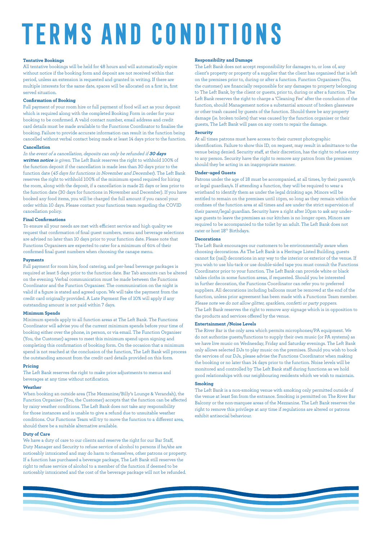# **TERMS AND CONDITIONS**

#### **Tentative Bookings**

All tentative bookings will be held for 48 hours and will automatically expire without notice if the booking form and deposit are not received within that period, unless an extension is requested and granted in writing. If there are multiple interests for the same date, spaces will be allocated on a first in, first served situation.

#### **Confirmation of Booking**

Full payment of your room hire or full payment of food will act as your deposit which is required along with the completed Booking Form in order for your booking to be confirmed. A valid contact number, email address and credit card details must be made available to the Functions Coordinator to finalise the booking. Failure to provide accurate information can result in the function being cancelled without verbal contact being made at least 14 days prior to the function.

#### **Cancellation**

In the event of a cancellation, deposits can only be refunded if **30 days written notice** is given. The Left Bank reserves the right to withhold 100% of the function deposit if the cancellation is made less than 30 days prior to the function date (45 days for functions in November and December). The Left Bank reserves the right to withhold 100% of the minimum spend required for hiring the room, along with the deposit, if a cancellation is made 21 days or less prior to the function date (30 days for functions in November and December). If you have booked any food items, you will be charged the full amount if you cancel your order within 10 days. Please contact your functions team regarding the COVID cancellation policy.

#### **Final Confirmations**

To ensure all your needs are met with efficient service and high quality we request that confirmation of final guest numbers, menu and beverage selections are advised no later than 10 days prior to your function date. Please note that Functions Organisers are expected to cater for a minimum of 60% of their confirmed final guest numbers when choosing the canape menu.

#### **Payments**

Full payment for room hire, food catering, and per-head beverage packages is required at least 5 days prior to the function date. Bar Tab amounts can be altered on the evening. Verbal communication must be made between the Functions Coordinator and the Function Organiser. The communication on the night is valid if a figure is stated and agreed upon. We will take the payment from the credit card originally provided. A Late Payment Fee of 10% will apply if any outstanding amount is not paid within 7 days.

#### **Minimum Spends**

Minimum spends apply to all function areas at The Left Bank. The Functions Coordinator will advise you of the current minimum spends before your time of booking either over the phone, in person, or via email. The Function Organiser (You, the Customer) agrees to meet this minimum spend upon signing and completing this confirmation of booking form. On the occasion that a minimum spend is not reached at the conclusion of the function, The Left Bank will process the outstanding amount from the credit card details provided on this form.

#### **Pricing**

The Left Bank reserves the right to make price adjustments to menus and beverages at any time without notification.

#### **Weather**

When booking an outside area (The Mezzanine/Billy's Lounge & Verandah), the Function Organiser (You, the Customer) accepts that the function can be affected by rainy weather conditions. The Left Bank does not take any responsibility for those instances and is unable to give a refund due to unsuitable weather conditions. Our Functions Team will try to move the function to a different area, should there be a suitable alternative available.

#### **Duty of Care**

We have a duty of care to our clients and reserve the right for our Bar Staff, Duty Manager and Security to refuse service of alcohol to persons if he/she are noticeably intoxicated and may do harm to themselves, other patrons or property. If a function has purchased a beverage package, The Left Bank still reserves the right to refuse service of alcohol to a member of the function if deemed to be noticeably intoxicated and the cost of the beverage package will not be refunded.

#### **Responsibility and Damage**

The Left Bank does not accept responsibility for damages to, or loss of, any client's property or property of a supplier that the client has organised that is left on the premises prior to, during or after a function. Function Organisers (You, the customer) are financially responsible for any damages to property belonging to The Left Bank, by the client or guests, prior to, during or after a function. The Left Bank reserves the right to charge a 'Cleaning Fee' after the conclusion of the function, should Management notice a substantial amount of broken glassware or other trash caused by guests of the function. Should there be any property damage (ie. broken toilets) that was caused by the function organiser or their guests, The Left Bank will pass on any costs to repair the damage.

#### **Security**

At all times patrons must have access to their current photographic identification. Failure to show this ID, on request, may result in admittance to the venue being denied. Security staff, at their discretion, has the right to refuse entry to any person. Security have the right to remove any patron from the premises should they be acting in an inappropriate manner.

#### **Under-aged Guests**

Patrons under the age of 18 must be accompanied, at all times, by their parent/s or legal guardian/s. If attending a function, they will be required to wear a wristband to identify them as under the legal drinking age. Minors will be entitled to remain on the premises until 10pm, so long as they remain within the confines of the function area at all times and are under the strict supervision of their parent/legal guardian. Security have a right after 10pm to ask any underage guests to leave the premises as our kitchen is no longer open. Minors are required to be accompanied to the toilet by an adult. The Left Bank does not cater or host 18<sup>th</sup> Birthdays.

#### **Decorations**

The Left Bank encourages our customers to be environmentally aware when choosing decorations. As The Left Bank is a Heritage Listed Building, guests cannot fix (nail) decorations in any way to the interior or exterior of the venue. If you wish to use blu-tack or use double-sided tape you must consult the Functions Coordinator prior to your function. The Left Bank can provide white or black tables cloths in some function areas, if requested. Should you be interested in further decoration, the Functions Coordinator can refer you to preferred suppliers. All decorations including balloons must be removed at the end of the function, unless prior agreement has been made with a Functions Team member. Please note we do not allow glitter, sparklers, confetti or party poppers. The Left Bank reserves the right to remove any signage which is in opposition to the products and services offered by the venue.

#### **Entertainment /Noise Levels**

The River Bar is the only area which permits microphones/PA equipment. We do not authorize guests/functions to supply their own music (or PA systems) as we have live music on Wednesday, Friday and Saturday evenings. The Left Bank only allows selected DJs to play music on the premises. Should you wish to book the services of our DJs, please advise the Functions Coordinator when making the booking or no later than 14 days prior to the function. Noise levels will be monitored and controlled by The Left Bank staff during functions as we hold good relationships with our neighbouring residents which we wish to maintain.

#### **Smoking**

The Left Bank is a non-smoking venue with smoking only permitted outside of the venue at least 5m from the entrance. Smoking is permitted on The River Bar Balcony or the non-marquee areas of the Mezzanine. The Left Bank reserves the right to remove this privilege at any time if regulations are altered or patrons exhibit antisocial behaviour.